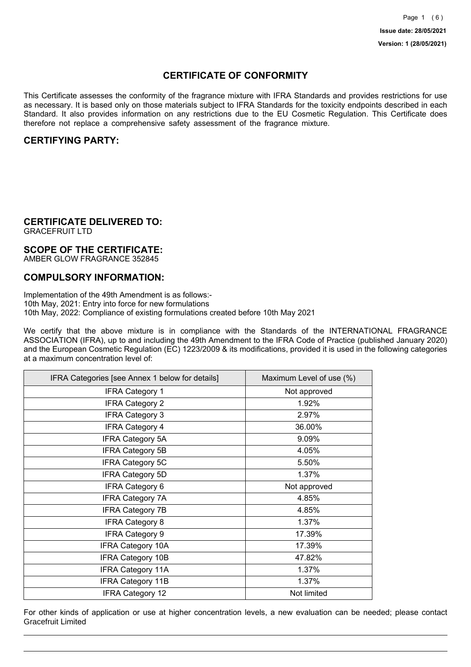## **CERTIFICATE OF CONFORMITY**

This Certificate assesses the conformity of the fragrance mixture with IFRA Standards and provides restrictions for use as necessary. It is based only on those materials subject to IFRA Standards for the toxicity endpoints described in each Standard. It also provides information on any restrictions due to the EU Cosmetic Regulation. This Certificate does therefore not replace a comprehensive safety assessment of the fragrance mixture.

## **CERTIFYING PARTY:**

## **CERTIFICATE DELIVERED TO:**

GRACEFRUIT LTD

## **SCOPE OF THE CERTIFICATE:**

AMBER GLOW FRAGRANCE 352845

## **COMPULSORY INFORMATION:**

Implementation of the 49th Amendment is as follows:- 10th May, 2021: Entry into force for new formulations 10th May, 2022: Compliance of existing formulations created before 10th May 2021

We certify that the above mixture is in compliance with the Standards of the INTERNATIONAL FRAGRANCE ASSOCIATION (IFRA), up to and including the 49th Amendment to the IFRA Code of Practice (published January 2020) and the European Cosmetic Regulation (EC) 1223/2009 & its modifications, provided it is used in the following categories at a maximum concentration level of:

| IFRA Categories [see Annex 1 below for details] | Maximum Level of use (%) |
|-------------------------------------------------|--------------------------|
| <b>IFRA Category 1</b>                          | Not approved             |
| <b>IFRA Category 2</b>                          | 1.92%                    |
| <b>IFRA Category 3</b>                          | 2.97%                    |
| <b>IFRA Category 4</b>                          | 36.00%                   |
| <b>IFRA Category 5A</b>                         | 9.09%                    |
| <b>IFRA Category 5B</b>                         | 4.05%                    |
| <b>IFRA Category 5C</b>                         | 5.50%                    |
| <b>IFRA Category 5D</b>                         | 1.37%                    |
| <b>IFRA Category 6</b>                          | Not approved             |
| <b>IFRA Category 7A</b>                         | 4.85%                    |
| <b>IFRA Category 7B</b>                         | 4.85%                    |
| <b>IFRA Category 8</b>                          | 1.37%                    |
| <b>IFRA Category 9</b>                          | 17.39%                   |
| <b>IFRA Category 10A</b>                        | 17.39%                   |
| <b>IFRA Category 10B</b>                        | 47.82%                   |
| <b>IFRA Category 11A</b>                        | 1.37%                    |
| <b>IFRA Category 11B</b>                        | 1.37%                    |
| <b>IFRA Category 12</b>                         | Not limited              |

For other kinds of application or use at higher concentration levels, a new evaluation can be needed; please contact Gracefruit Limited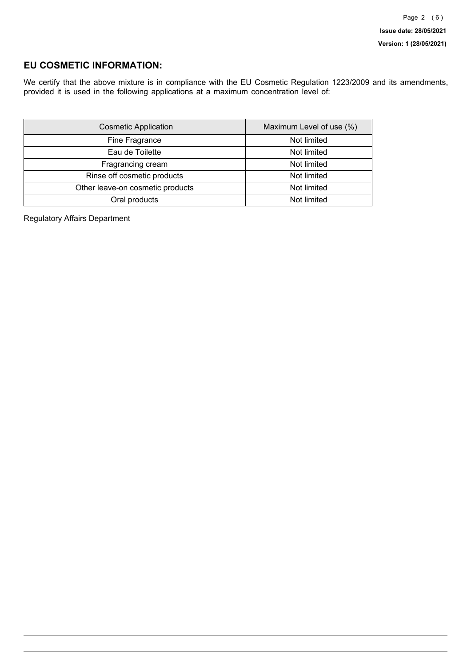## **EU COSMETIC INFORMATION:**

We certify that the above mixture is in compliance with the EU Cosmetic Regulation 1223/2009 and its amendments, provided it is used in the following applications at a maximum concentration level of:

| <b>Cosmetic Application</b>      | Maximum Level of use (%) |
|----------------------------------|--------------------------|
| Fine Fragrance                   | Not limited              |
| Eau de Toilette                  | Not limited              |
| Fragrancing cream                | Not limited              |
| Rinse off cosmetic products      | Not limited              |
| Other leave-on cosmetic products | Not limited              |
| Oral products                    | Not limited              |

Regulatory Affairs Department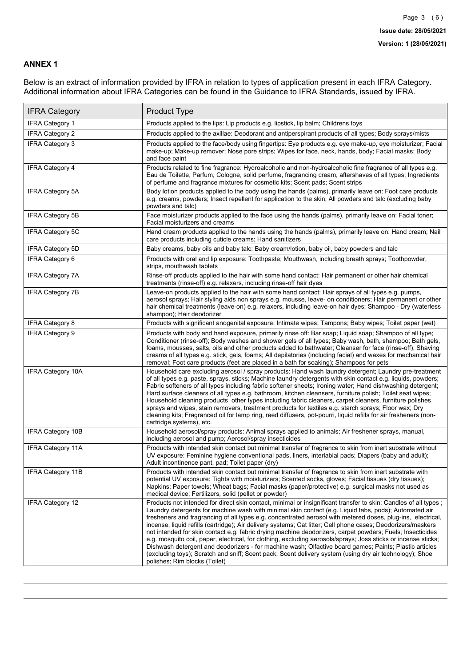### **ANNEX 1**

Below is an extract of information provided by IFRA in relation to types of application present in each IFRA Category. Additional information about IFRA Categories can be found in the Guidance to IFRA Standards, issued by IFRA.

| <b>IFRA Category</b>     | Product Type                                                                                                                                                                                                                                                                                                                                                                                                                                                                                                                                                                                                                                                                                                                                                                                                                                                                                                                                 |
|--------------------------|----------------------------------------------------------------------------------------------------------------------------------------------------------------------------------------------------------------------------------------------------------------------------------------------------------------------------------------------------------------------------------------------------------------------------------------------------------------------------------------------------------------------------------------------------------------------------------------------------------------------------------------------------------------------------------------------------------------------------------------------------------------------------------------------------------------------------------------------------------------------------------------------------------------------------------------------|
| <b>IFRA Category 1</b>   | Products applied to the lips: Lip products e.g. lipstick, lip balm; Childrens toys                                                                                                                                                                                                                                                                                                                                                                                                                                                                                                                                                                                                                                                                                                                                                                                                                                                           |
| <b>IFRA Category 2</b>   | Products applied to the axillae: Deodorant and antiperspirant products of all types; Body sprays/mists                                                                                                                                                                                                                                                                                                                                                                                                                                                                                                                                                                                                                                                                                                                                                                                                                                       |
| <b>IFRA Category 3</b>   | Products applied to the face/body using fingertips: Eye products e.g. eye make-up, eye moisturizer; Facial<br>make-up; Make-up remover; Nose pore strips; Wipes for face, neck, hands, body; Facial masks; Body<br>and face paint                                                                                                                                                                                                                                                                                                                                                                                                                                                                                                                                                                                                                                                                                                            |
| <b>IFRA Category 4</b>   | Products related to fine fragrance: Hydroalcoholic and non-hydroalcoholic fine fragrance of all types e.g.<br>Eau de Toilette, Parfum, Cologne, solid perfume, fragrancing cream, aftershaves of all types; Ingredients<br>of perfume and fragrance mixtures for cosmetic kits; Scent pads; Scent strips                                                                                                                                                                                                                                                                                                                                                                                                                                                                                                                                                                                                                                     |
| <b>IFRA Category 5A</b>  | Body lotion products applied to the body using the hands (palms), primarily leave on: Foot care products<br>e.g. creams, powders; Insect repellent for application to the skin; All powders and talc (excluding baby<br>powders and talc)                                                                                                                                                                                                                                                                                                                                                                                                                                                                                                                                                                                                                                                                                                    |
| IFRA Category 5B         | Face moisturizer products applied to the face using the hands (palms), primarily leave on: Facial toner;<br>Facial moisturizers and creams                                                                                                                                                                                                                                                                                                                                                                                                                                                                                                                                                                                                                                                                                                                                                                                                   |
| <b>IFRA Category 5C</b>  | Hand cream products applied to the hands using the hands (palms), primarily leave on: Hand cream; Nail<br>care products including cuticle creams; Hand sanitizers                                                                                                                                                                                                                                                                                                                                                                                                                                                                                                                                                                                                                                                                                                                                                                            |
| <b>IFRA Category 5D</b>  | Baby creams, baby oils and baby talc: Baby cream/lotion, baby oil, baby powders and talc                                                                                                                                                                                                                                                                                                                                                                                                                                                                                                                                                                                                                                                                                                                                                                                                                                                     |
| IFRA Category 6          | Products with oral and lip exposure: Toothpaste; Mouthwash, including breath sprays; Toothpowder,<br>strips, mouthwash tablets                                                                                                                                                                                                                                                                                                                                                                                                                                                                                                                                                                                                                                                                                                                                                                                                               |
| <b>IFRA Category 7A</b>  | Rinse-off products applied to the hair with some hand contact: Hair permanent or other hair chemical<br>treatments (rinse-off) e.g. relaxers, including rinse-off hair dyes                                                                                                                                                                                                                                                                                                                                                                                                                                                                                                                                                                                                                                                                                                                                                                  |
| <b>IFRA Category 7B</b>  | Leave-on products applied to the hair with some hand contact: Hair sprays of all types e.g. pumps,<br>aerosol sprays; Hair styling aids non sprays e.g. mousse, leave- on conditioners; Hair permanent or other<br>hair chemical treatments (leave-on) e.g. relaxers, including leave-on hair dyes; Shampoo - Dry (waterless<br>shampoo); Hair deodorizer                                                                                                                                                                                                                                                                                                                                                                                                                                                                                                                                                                                    |
| <b>IFRA Category 8</b>   | Products with significant anogenital exposure: Intimate wipes; Tampons; Baby wipes; Toilet paper (wet)                                                                                                                                                                                                                                                                                                                                                                                                                                                                                                                                                                                                                                                                                                                                                                                                                                       |
| IFRA Category 9          | Products with body and hand exposure, primarily rinse off: Bar soap; Liquid soap; Shampoo of all type;<br>Conditioner (rinse-off); Body washes and shower gels of all types; Baby wash, bath, shampoo; Bath gels,<br>foams, mousses, salts, oils and other products added to bathwater; Cleanser for face (rinse-off); Shaving<br>creams of all types e.g. stick, gels, foams; All depilatories (including facial) and waxes for mechanical hair<br>removal; Foot care products (feet are placed in a bath for soaking); Shampoos for pets                                                                                                                                                                                                                                                                                                                                                                                                   |
| <b>IFRA Category 10A</b> | Household care excluding aerosol / spray products: Hand wash laundry detergent; Laundry pre-treatment<br>of all types e.g. paste, sprays, sticks; Machine laundry detergents with skin contact e.g. liquids, powders;<br>Fabric softeners of all types including fabric softener sheets; Ironing water; Hand dishwashing detergent;<br>Hard surface cleaners of all types e.g. bathroom, kitchen cleansers, furniture polish; Toilet seat wipes;<br>Household cleaning products, other types including fabric cleaners, carpet cleaners, furniture polishes<br>sprays and wipes, stain removers, treatment products for textiles e.g. starch sprays; Floor wax; Dry<br>cleaning kits; Fragranced oil for lamp ring, reed diffusers, pot-pourri, liquid refills for air fresheners (non-<br>cartridge systems), etc.                                                                                                                          |
| <b>IFRA Category 10B</b> | Household aerosol/spray products: Animal sprays applied to animals; Air freshener sprays, manual,<br>including aerosol and pump; Aerosol/spray insecticides                                                                                                                                                                                                                                                                                                                                                                                                                                                                                                                                                                                                                                                                                                                                                                                  |
| <b>IFRA Category 11A</b> | Products with intended skin contact but minimal transfer of fragrance to skin from inert substrate without<br>UV exposure: Feminine hygiene conventional pads, liners, interlabial pads; Diapers (baby and adult);<br>Adult incontinence pant, pad; Toilet paper (dry)                                                                                                                                                                                                                                                                                                                                                                                                                                                                                                                                                                                                                                                                       |
| <b>IFRA Category 11B</b> | Products with intended skin contact but minimal transfer of fragrance to skin from inert substrate with<br>potential UV exposure: Tights with moisturizers; Scented socks, gloves; Facial tissues (dry tissues);<br>Napkins; Paper towels; Wheat bags; Facial masks (paper/protective) e.g. surgical masks not used as<br>medical device; Fertilizers, solid (pellet or powder)                                                                                                                                                                                                                                                                                                                                                                                                                                                                                                                                                              |
| <b>IFRA Category 12</b>  | Products not intended for direct skin contact, minimal or insignificant transfer to skin: Candles of all types;<br>Laundry detergents for machine wash with minimal skin contact (e.g. Liquid tabs, pods); Automated air<br>fresheners and fragrancing of all types e.g. concentrated aerosol with metered doses, plug-ins, electrical,<br>incense, liquid refills (cartridge); Air delivery systems; Cat litter; Cell phone cases; Deodorizers/maskers<br>not intended for skin contact e.g. fabric drying machine deodorizers, carpet powders; Fuels; Insecticides<br>e.g. mosquito coil, paper, electrical, for clothing, excluding aerosols/sprays; Joss sticks or incense sticks;<br>Dishwash detergent and deodorizers - for machine wash; Olfactive board games; Paints; Plastic articles<br>(excluding toys); Scratch and sniff; Scent pack; Scent delivery system (using dry air technology); Shoe<br>polishes; Rim blocks (Toilet) |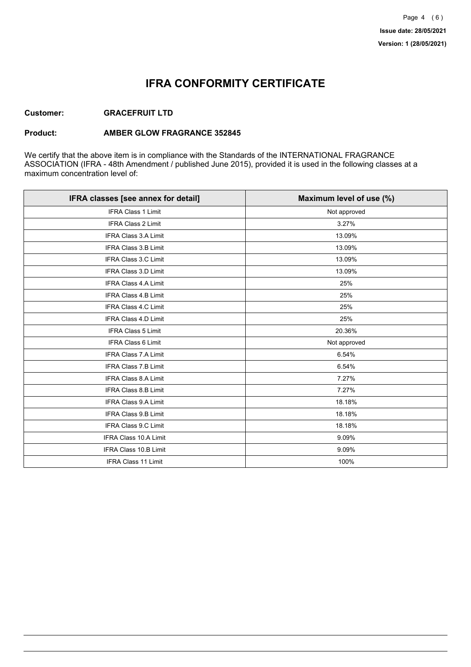## **IFRA CONFORMITY CERTIFICATE**

### **Customer: GRACEFRUIT LTD**

#### **Product: AMBER GLOW FRAGRANCE 352845**

We certify that the above item is in compliance with the Standards of the INTERNATIONAL FRAGRANCE ASSOCIATION (IFRA - 48th Amendment / published June 2015), provided it is used in the following classes at a maximum concentration level of:

| IFRA classes [see annex for detail] | Maximum level of use (%) |
|-------------------------------------|--------------------------|
| <b>IFRA Class 1 Limit</b>           | Not approved             |
| <b>IFRA Class 2 Limit</b>           | 3.27%                    |
| <b>IFRA Class 3.A Limit</b>         | 13.09%                   |
| IFRA Class 3.B Limit                | 13.09%                   |
| IFRA Class 3.C Limit                | 13.09%                   |
| IFRA Class 3.D Limit                | 13.09%                   |
| <b>IFRA Class 4.A Limit</b>         | 25%                      |
| <b>IFRA Class 4.B Limit</b>         | 25%                      |
| IFRA Class 4.C Limit                | 25%                      |
| <b>IFRA Class 4.D Limit</b>         | 25%                      |
| <b>IFRA Class 5 Limit</b>           | 20.36%                   |
| <b>IFRA Class 6 Limit</b>           | Not approved             |
| <b>IFRA Class 7.A Limit</b>         | 6.54%                    |
| IFRA Class 7.B Limit                | 6.54%                    |
| IFRA Class 8.A Limit                | 7.27%                    |
| IFRA Class 8.B Limit                | 7.27%                    |
| <b>IFRA Class 9.A Limit</b>         | 18.18%                   |
| <b>IFRA Class 9.B Limit</b>         | 18.18%                   |
| IFRA Class 9.C Limit                | 18.18%                   |
| IFRA Class 10.A Limit               | 9.09%                    |
| IFRA Class 10.B Limit               | 9.09%                    |
| <b>IFRA Class 11 Limit</b>          | 100%                     |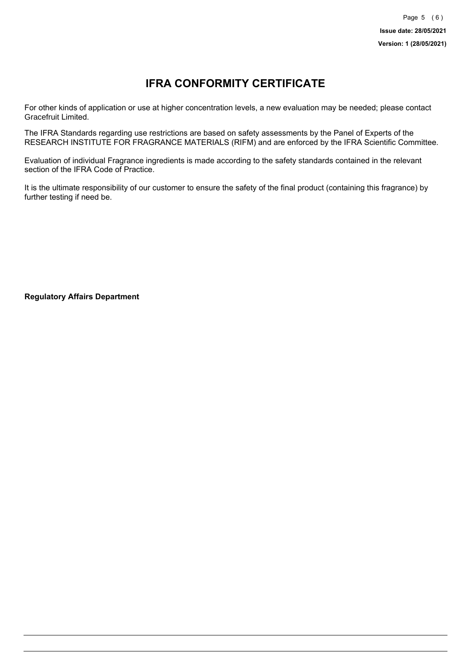# **IFRA CONFORMITY CERTIFICATE**

For other kinds of application or use at higher concentration levels, a new evaluation may be needed; please contact Gracefruit Limited.

The IFRA Standards regarding use restrictions are based on safety assessments by the Panel of Experts of the RESEARCH INSTITUTE FOR FRAGRANCE MATERIALS (RIFM) and are enforced by the IFRA Scientific Committee.

Evaluation of individual Fragrance ingredients is made according to the safety standards contained in the relevant section of the IFRA Code of Practice.

It is the ultimate responsibility of our customer to ensure the safety of the final product (containing this fragrance) by further testing if need be.

**Regulatory Affairs Department**